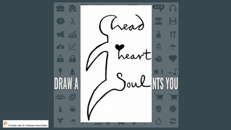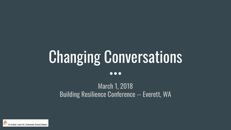# Changing Conversations

#### $\bullet\bullet\bullet$

#### March 1, 2018 Building Resilience Conference -- Everett, WA

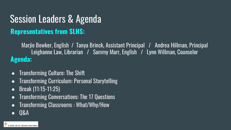#### Session Leaders & Agenda **Representatives from SLHS:**

Marjie Bowker, English / Tanya Brinck, Assistant Principal / Andrea Hillman, Principal Leighanne Law, Librarian / Sammy Marr, English / Lynn Willman, Counselor **Agenda:**

- Transforming Culture: The Shift
- **Transforming Curriculum: Personal Storytelling**
- Break (11:15-11:25)
- **Transforming Conversations: The 17 Questions**
- Transforming Classrooms : What/Why/How
- Q&A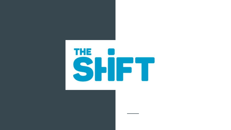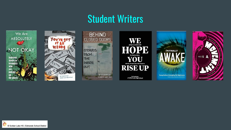#### Student Writers









By Students<br>at Scriber Lake High School





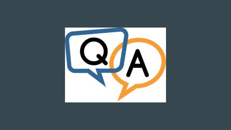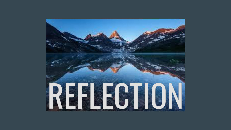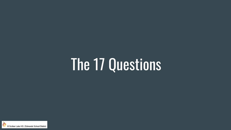## The 17 Questions

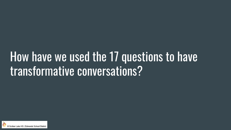### How have we used the 17 questions to have transformative conversations?

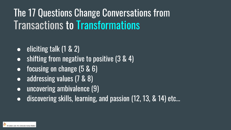#### The 17 Questions Change Conversations from Transactions to Transformations

- eliciting talk (1 & 2)
- shifting from negative to positive (3 & 4)
- focusing on change (5 & 6)
- addressing values (7 & 8)
- uncovering ambivalence (9)
- discovering skills, learning, and passion (12, 13, & 14) etc...

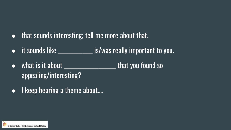- that sounds interesting; tell me more about that.
- it sounds like \_\_\_\_\_\_\_\_\_\_\_\_\_\_ is/was really important to you.
- what is it about \_\_\_\_\_\_\_\_\_\_\_\_\_\_\_\_\_\_\_\_\_ that you found so appealing/interesting?
- **I keep hearing a theme about....**

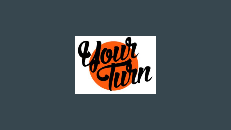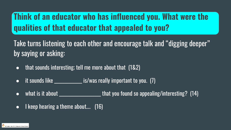#### **Think of an educator who has influenced you. What were the qualities of that educator that appealed to you?**

Take turns listening to each other and encourage talk and "digging deeper" by saying or asking:

- that sounds interesting; tell me more about that (1&2)
- it sounds like \_\_\_\_\_\_\_\_\_\_\_\_\_\_\_\_ is/was really important to you. (7)
- what is it about \_\_\_\_\_\_\_\_\_\_\_\_\_\_\_\_\_\_\_\_that you found so appealing/interesting? (14)
- I keep hearing a theme about.... (16)

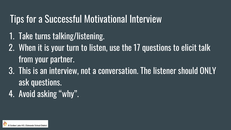#### Tips for a Successful Motivational Interview

- 1. Take turns talking/listening.
- 2. When it is your turn to listen, use the 17 questions to elicit talk from your partner.
- 3. This is an interview, not a conversation. The listener should ONLY ask questions.
- 4. Avoid asking "why".

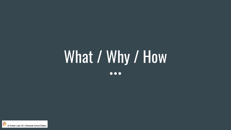# What / Why / How



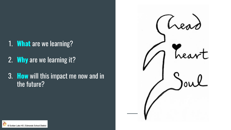- 1. **What** are we learning?
- 2. **Why** are we learning it?
- 3. **How** will this impact me now and in the future?



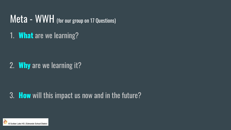Meta - WWH (for our group on 17 Questions)

1. **What** are we learning?

2. **Why** are we learning it?

#### 3. **How** will this impact us now and in the future?

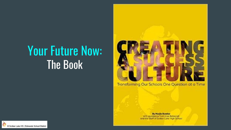### Your Future Now: The Book



Transforming Our Schools One Question at a Time

By Marjie Bowker with assistance from Eiza Betvenat and the Staff of Scriber Lake High School

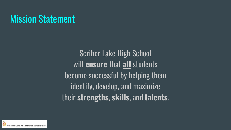#### Mission Statement

Scriber Lake High School will **ensure** that **all** students become successful by helping them identify, develop, and maximize their **strengths**, **skills**, and **talents**.